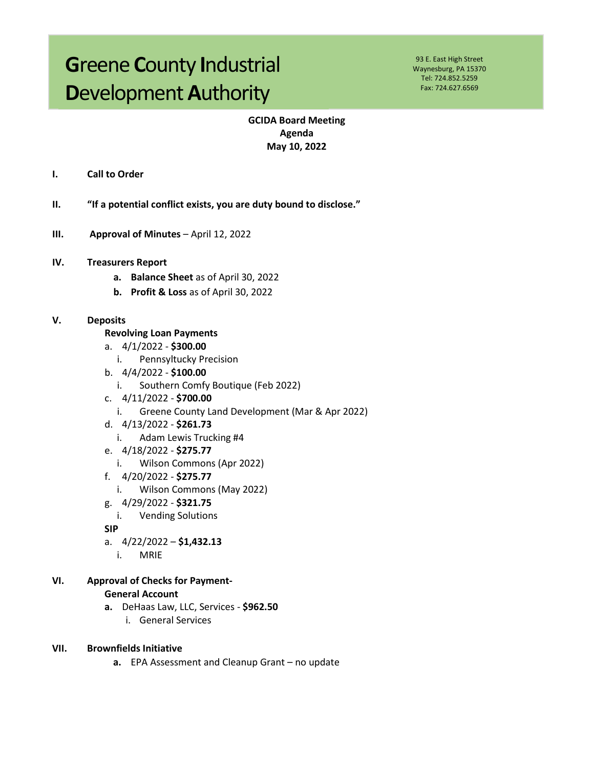# **Greene County Industrial Development Authority**

93 E. East High Street Waynesburg, PA 15370 Tel: 724.852.5259 Fax: 724.627.6569

# **GCIDA Board Meeting** Agenda May 10, 2022

- I. **Call to Order**
- II. "If a potential conflict exists, you are duty bound to disclose."
- $III.$ Approval of Minutes - April 12, 2022
- IV. **Treasurers Report** 
	- a. Balance Sheet as of April 30, 2022
	- b. Profit & Loss as of April 30, 2022

#### V. **Deposits**

- **Revolving Loan Payments**
- a.  $4/1/2022 $300.00$ 
	- **Pennsyltucky Precision**  $\mathbf{i}$ .
- b.  $4/4/2022 $100.00$ 
	- Southern Comfy Boutique (Feb 2022)  $i$ .
- c.  $4/11/2022 $700.00$ 
	- Greene County Land Development (Mar & Apr 2022)  $i$ .
- d.  $4/13/2022 $261.73$ 
	- Adam Lewis Trucking #4  $i$ .
- e.  $4/18/2022 $275.77$ 
	- Wilson Commons (Apr 2022)  $i$ .
- f.  $4/20/2022 $275.77$ 
	- Wilson Commons (May 2022) i.
- g. 4/29/2022 \$321.75
	- **Vending Solutions**  $\mathbf{i}$ .
- **SIP**
- a.  $4/22/2022 $1,432.13$ 
	- i. **MRIE**

## VI. **Approval of Checks for Payment-General Account**

a. DeHaas Law, LLC, Services - \$962.50 i. General Services

### VII. **Brownfields Initiative**

a. EPA Assessment and Cleanup Grant - no update